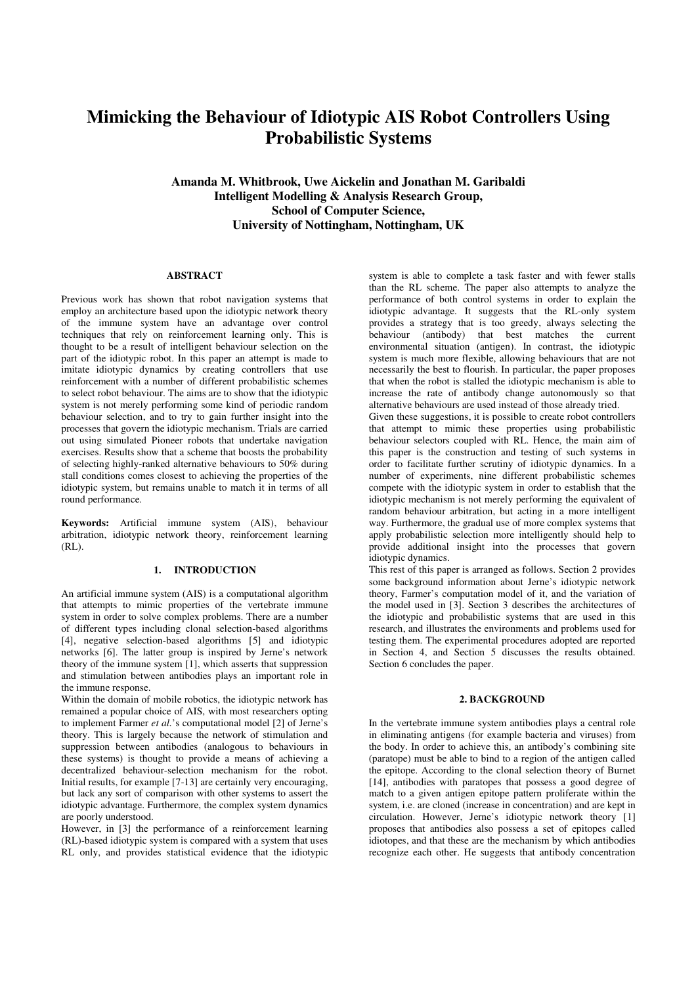# Mimicking the Behaviour of Idiotypic AIS Robot Controllers Using Probabilistic Systems

Amanda M. Whitbrook, Uwe Aickelin and Jonathan M. Garibaldi Intelligent Modelling & Analysis Research Group, School of Computer Science, University of Nottingham, Nottingham, UK

## ABSTRACT

Previous work has shown that robot navigation systems that employ an architecture based upon the idiotypic network theory of the immune system have an advantage over control techniques that rely on reinforcement learning only. This is thought to be a result of intelligent behaviour selection on the part of the idiotypic robot. In this paper an attempt is made to imitate idiotypic dynamics by creating controllers that use reinforcement with a number of different probabilistic schemes to select robot behaviour. The aims are to show that the idiotypic system is not merely performing some kind of periodic random behaviour selection, and to try to gain further insight into the processes that govern the idiotypic mechanism. Trials are carried out using simulated Pioneer robots that undertake navigation exercises. Results show that a scheme that boosts the probability of selecting highly-ranked alternative behaviours to 50% during stall conditions comes closest to achieving the properties of the idiotypic system, but remains unable to match it in terms of all round performance.

Keywords: Artificial immune system (AIS), behaviour arbitration, idiotypic network theory, reinforcement learning (RL).

## 1. INTRODUCTION

An artificial immune system (AIS) is a computational algorithm that attempts to mimic properties of the vertebrate immune system in order to solve complex problems. There are a number of different types including clonal selection-based algorithms [4], negative selection-based algorithms [5] and idiotypic networks [6]. The latter group is inspired by Jerne's network theory of the immune system [1], which asserts that suppression and stimulation between antibodies plays an important role in the immune response.

Within the domain of mobile robotics, the idiotypic network has remained a popular choice of AIS, with most researchers opting to implement Farmer et al.'s computational model [2] of Jerne's theory. This is largely because the network of stimulation and suppression between antibodies (analogous to behaviours in these systems) is thought to provide a means of achieving a decentralized behaviour-selection mechanism for the robot. Initial results, for example [7-13] are certainly very encouraging, but lack any sort of comparison with other systems to assert the idiotypic advantage. Furthermore, the complex system dynamics are poorly understood.

However, in [3] the performance of a reinforcement learning (RL)-based idiotypic system is compared with a system that uses RL only, and provides statistical evidence that the idiotypic

system is able to complete a task faster and with fewer stalls than the RL scheme. The paper also attempts to analyze the performance of both control systems in order to explain the idiotypic advantage. It suggests that the RL-only system provides a strategy that is too greedy, always selecting the behaviour (antibody) that best matches the current environmental situation (antigen). In contrast, the idiotypic system is much more flexible, allowing behaviours that are not necessarily the best to flourish. In particular, the paper proposes that when the robot is stalled the idiotypic mechanism is able to increase the rate of antibody change autonomously so that alternative behaviours are used instead of those already tried.

Given these suggestions, it is possible to create robot controllers that attempt to mimic these properties using probabilistic behaviour selectors coupled with RL. Hence, the main aim of this paper is the construction and testing of such systems in order to facilitate further scrutiny of idiotypic dynamics. In a number of experiments, nine different probabilistic schemes compete with the idiotypic system in order to establish that the idiotypic mechanism is not merely performing the equivalent of random behaviour arbitration, but acting in a more intelligent way. Furthermore, the gradual use of more complex systems that apply probabilistic selection more intelligently should help to provide additional insight into the processes that govern idiotypic dynamics.

This rest of this paper is arranged as follows. Section 2 provides some background information about Jerne's idiotypic network theory, Farmer's computation model of it, and the variation of the model used in [3]. Section 3 describes the architectures of the idiotypic and probabilistic systems that are used in this research, and illustrates the environments and problems used for testing them. The experimental procedures adopted are reported in Section 4, and Section 5 discusses the results obtained. Section 6 concludes the paper.

## 2. BACKGROUND

In the vertebrate immune system antibodies plays a central role in eliminating antigens (for example bacteria and viruses) from the body. In order to achieve this, an antibody's combining site (paratope) must be able to bind to a region of the antigen called the epitope. According to the clonal selection theory of Burnet [14], antibodies with paratopes that possess a good degree of match to a given antigen epitope pattern proliferate within the system, i.e. are cloned (increase in concentration) and are kept in circulation. However, Jerne's idiotypic network theory [1] proposes that antibodies also possess a set of epitopes called idiotopes, and that these are the mechanism by which antibodies recognize each other. He suggests that antibody concentration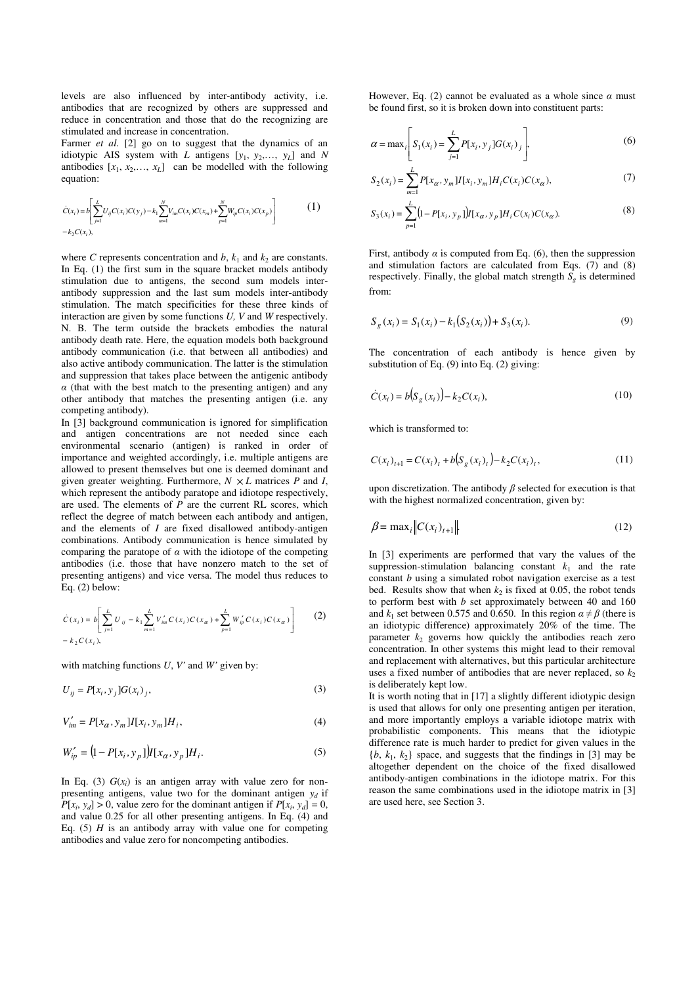levels are also influenced by inter-antibody activity, i.e. antibodies that are recognized by others are suppressed and reduce in concentration and those that do the recognizing are stimulated and increase in concentration.

Farmer *et al.* [2] go on to suggest that the dynamics of an idiotypic AIS system with L antigens  $[y_1, y_2,..., y_L]$  and N antibodies  $[x_1, x_2,..., x_L]$  can be modelled with the following equation:

$$
\dot{C}(x_i) = b \left[ \sum_{j=1}^{L} U_{ij} C(x_i) C(y_j) - k_1 \sum_{m=1}^{N} V_{im} C(x_i) C(x_m) + \sum_{p=1}^{N} W_{ip} C(x_i) C(x_p) \right]
$$
\n
$$
-k_2 C(x_i),
$$
\n(1)

where C represents concentration and  $b$ ,  $k_1$  and  $k_2$  are constants. In Eq. (1) the first sum in the square bracket models antibody stimulation due to antigens, the second sum models interantibody suppression and the last sum models inter-antibody stimulation. The match specificities for these three kinds of interaction are given by some functions U, V and W respectively. N. B. The term outside the brackets embodies the natural antibody death rate. Here, the equation models both background antibody communication (i.e. that between all antibodies) and also active antibody communication. The latter is the stimulation and suppression that takes place between the antigenic antibody  $\alpha$  (that with the best match to the presenting antigen) and any other antibody that matches the presenting antigen (i.e. any competing antibody).

In [3] background communication is ignored for simplification and antigen concentrations are not needed since each environmental scenario (antigen) is ranked in order of importance and weighted accordingly, i.e. multiple antigens are allowed to present themselves but one is deemed dominant and given greater weighting. Furthermore,  $N \times L$  matrices P and I, which represent the antibody paratope and idiotope respectively, are used. The elements of  $P$  are the current RL scores, which reflect the degree of match between each antibody and antigen, and the elements of  $I$  are fixed disallowed antibody-antigen combinations. Antibody communication is hence simulated by comparing the paratope of  $\alpha$  with the idiotope of the competing antibodies (i.e. those that have nonzero match to the set of presenting antigens) and vice versa. The model thus reduces to Eq. (2) below:

$$
\dot{C}(x_i) = b \left[ \sum_{j=1}^{L} U_{ij} - k_1 \sum_{m=1}^{L} V'_{im} C(x_i) C(x_a) + \sum_{p=1}^{L} W'_{ip} C(x_i) C(x_a) \right]
$$
(2)  
- k<sub>2</sub>C(x<sub>i</sub>),

with matching functions  $U, V'$  and  $W'$  given by:

$$
U_{ij} = P[x_i, y_j]G(x_i)_{j},
$$
\n(3)

$$
V'_{im} = P[x_{\alpha}, y_{m}]I[x_{i}, y_{m}]H_{i},
$$
\n(4)

$$
W'_{ip} = (1 - P[x_i, y_p])I[x_\alpha, y_p]H_i.
$$
 (5)

In Eq. (3)  $G(x_i)$  is an antigen array with value zero for nonpresenting antigens, value two for the dominant antigen  $y_d$  if  $P[x_i, y_d] > 0$ , value zero for the dominant antigen if  $P[x_i, y_d] = 0$ , and value 0.25 for all other presenting antigens. In Eq. (4) and Eq. (5)  $H$  is an antibody array with value one for competing antibodies and value zero for noncompeting antibodies.

However, Eq. (2) cannot be evaluated as a whole since  $\alpha$  must be found first, so it is broken down into constituent parts:

$$
\alpha = \max_{i} \left[ S_{1}(x_{i}) = \sum_{j=1}^{L} P[x_{i}, y_{j}] G(x_{i})_{j} \right],
$$
\n(6)

$$
S_2(x_i) = \sum_{m=1}^{L} P[x_{\alpha}, y_m] I[x_i, y_m] H_i C(x_i) C(x_{\alpha}),
$$
\n(7)

$$
S_3(x_i) = \sum_{p=1}^{L} (1 - P[x_i, y_p]) I[x_\alpha, y_p] H_i C(x_i) C(x_\alpha).
$$
 (8)

First, antibody  $\alpha$  is computed from Eq. (6), then the suppression and stimulation factors are calculated from Eqs. (7) and (8) respectively. Finally, the global match strength  $S<sub>g</sub>$  is determined from:

$$
S_g(x_i) = S_1(x_i) - k_1(S_2(x_i)) + S_3(x_i). \tag{9}
$$

The concentration of each antibody is hence given by substitution of Eq. (9) into Eq. (2) giving:

$$
\dot{C}(x_i) = b(S_g(x_i)) - k_2 C(x_i),
$$
\n(10)

which is transformed to:

$$
C(x_i)_{t+1} = C(x_i)_t + b(S_g(x_i)_t) - k_2 C(x_i)_t,
$$
\n(11)

upon discretization. The antibody  $\beta$  selected for execution is that with the highest normalized concentration, given by:

$$
\beta = \max_{i} \| C(x_i)_{t+1} \|.
$$
 (12)

In [3] experiments are performed that vary the values of the suppression-stimulation balancing constant  $k_1$  and the rate constant  $b$  using a simulated robot navigation exercise as a test bed. Results show that when  $k_2$  is fixed at 0.05, the robot tends to perform best with  $b$  set approximately between 40 and 160 and  $k_1$  set between 0.575 and 0.650. In this region  $\alpha \neq \beta$  (there is an idiotypic difference) approximately 20% of the time. The parameter  $k_2$  governs how quickly the antibodies reach zero concentration. In other systems this might lead to their removal and replacement with alternatives, but this particular architecture uses a fixed number of antibodies that are never replaced, so  $k_2$ is deliberately kept low.

It is worth noting that in [17] a slightly different idiotypic design is used that allows for only one presenting antigen per iteration, and more importantly employs a variable idiotope matrix with probabilistic components. This means that the idiotypic difference rate is much harder to predict for given values in the  ${b, k<sub>1</sub>, k<sub>2</sub>}$  space, and suggests that the findings in [3] may be altogether dependent on the choice of the fixed disallowed antibody-antigen combinations in the idiotope matrix. For this reason the same combinations used in the idiotope matrix in [3] are used here, see Section 3.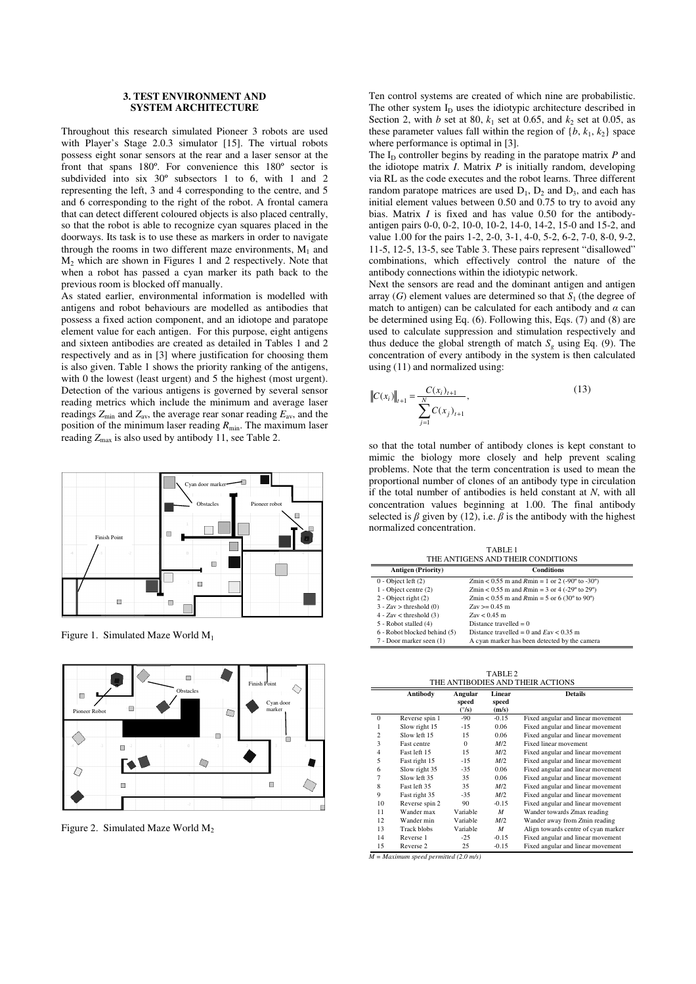## 3. TEST ENVIRONMENT AND SYSTEM ARCHITECTURE

Throughout this research simulated Pioneer 3 robots are used with Player's Stage 2.0.3 simulator [15]. The virtual robots possess eight sonar sensors at the rear and a laser sensor at the front that spans 180º. For convenience this 180º sector is subdivided into six 30º subsectors 1 to 6, with 1 and 2 representing the left, 3 and 4 corresponding to the centre, and 5 and 6 corresponding to the right of the robot. A frontal camera that can detect different coloured objects is also placed centrally, so that the robot is able to recognize cyan squares placed in the doorways. Its task is to use these as markers in order to navigate through the rooms in two different maze environments,  $M_1$  and M2 which are shown in Figures 1 and 2 respectively. Note that when a robot has passed a cyan marker its path back to the previous room is blocked off manually.

As stated earlier, environmental information is modelled with antigens and robot behaviours are modelled as antibodies that possess a fixed action component, and an idiotope and paratope element value for each antigen. For this purpose, eight antigens and sixteen antibodies are created as detailed in Tables 1 and 2 respectively and as in [3] where justification for choosing them is also given. Table 1 shows the priority ranking of the antigens, with 0 the lowest (least urgent) and 5 the highest (most urgent). Detection of the various antigens is governed by several sensor reading metrics which include the minimum and average laser readings  $Z_{\text{min}}$  and  $Z_{\text{av}}$ , the average rear sonar reading  $E_{\text{av}}$ , and the position of the minimum laser reading  $R_{\text{min}}$ . The maximum laser reading  $Z_{\text{max}}$  is also used by antibody 11, see Table 2.



Figure 1. Simulated Maze World M<sup>1</sup>



Figure 2. Simulated Maze World M<sup>2</sup>

Ten control systems are created of which nine are probabilistic. The other system  $I_D$  uses the idiotypic architecture described in Section 2, with b set at 80,  $k_1$  set at 0.65, and  $k_2$  set at 0.05, as these parameter values fall within the region of  $\{b, k_1, k_2\}$  space where performance is optimal in [3].

The  $I_D$  controller begins by reading in the paratope matrix  $P$  and the idiotope matrix  $I$ . Matrix  $P$  is initially random, developing via RL as the code executes and the robot learns. Three different random paratope matrices are used  $D_1$ ,  $D_2$  and  $D_3$ , and each has initial element values between 0.50 and 0.75 to try to avoid any bias. Matrix  $I$  is fixed and has value 0.50 for the antibodyantigen pairs 0-0, 0-2, 10-0, 10-2, 14-0, 14-2, 15-0 and 15-2, and value 1.00 for the pairs 1-2, 2-0, 3-1, 4-0, 5-2, 6-2, 7-0, 8-0, 9-2, 11-5, 12-5, 13-5, see Table 3. These pairs represent "disallowed" combinations, which effectively control the nature of the antibody connections within the idiotypic network.

Next the sensors are read and the dominant antigen and antigen array (G) element values are determined so that  $S_1$  (the degree of match to antigen) can be calculated for each antibody and  $\alpha$  can be determined using Eq. (6). Following this, Eqs. (7) and (8) are used to calculate suppression and stimulation respectively and thus deduce the global strength of match  $S_g$  using Eq. (9). The concentration of every antibody in the system is then calculated using (11) and normalized using:

$$
\left\|C(x_i)\right\|_{t+1} = \frac{C(x_i)_{t+1}}{\sum_{j=1}^N C(x_j)_{t+1}},\tag{13}
$$

so that the total number of antibody clones is kept constant to mimic the biology more closely and help prevent scaling problems. Note that the term concentration is used to mean the proportional number of clones of an antibody type in circulation if the total number of antibodies is held constant at  $N$ , with all concentration values beginning at 1.00. The final antibody selected is  $\beta$  given by (12), i.e.  $\beta$  is the antibody with the highest normalized concentration.

TABLE 1<br>THE ANTIGENS AND THEIR CONDITIONS

| <b>Antigen (Priority)</b>    | <b>Conditions</b>                                |
|------------------------------|--------------------------------------------------|
| $0$ - Object left $(2)$      | Zmin < $0.55$ m and Rmin = 1 or 2 (-90° to -30°) |
| $1 - Object centre(2)$       | Zmin < $0.55$ m and Rmin = 3 or 4 (-29° to 29°)  |
| $2 - Object right(2)$        | Zmin < $0.55$ m and Rmin = $5$ or 6 (30° to 90°) |
| $3 - Zav >$ threshold $(0)$  | $Z_{av} > = 0.45$ m                              |
| $4 - Zav <$ threshold $(3)$  | $Zav < 0.45$ m                                   |
| 5 - Robot stalled (4)        | Distance travelled $= 0$                         |
| 6 - Robot blocked behind (5) | Distance travelled = 0 and $E$ av < 0.35 m       |
| 7 - Door marker seen (1)     | A cyan marker has been detected by the camera    |

| TABLE <sub>2</sub>               |
|----------------------------------|
| THE ANTIBODIES AND THEIR ACTIONS |

|                | Antibody       | Angular        | Linear         | <b>Details</b>                      |
|----------------|----------------|----------------|----------------|-------------------------------------|
|                |                | speed<br>(°/s) | speed<br>(m/s) |                                     |
| $\Omega$       | Reverse spin 1 | $-90$          | $-0.15$        | Fixed angular and linear movement   |
|                | Slow right 15  | $-15$          | 0.06           | Fixed angular and linear movement   |
| $\overline{c}$ | Slow left 15   | 15             | 0.06           | Fixed angular and linear movement   |
| 3              | Fast centre    | $\Omega$       | M/2            | Fixed linear movement               |
| $\overline{4}$ | Fast left 15   | 15             | M/2            | Fixed angular and linear movement   |
| 5              | Fast right 15  | $-15$          | M/2            | Fixed angular and linear movement   |
| 6              | Slow right 35  | $-35$          | 0.06           | Fixed angular and linear movement   |
| 7              | Slow left 35   | 35             | 0.06           | Fixed angular and linear movement   |
| 8              | Fast left 35   | 35             | M/2            | Fixed angular and linear movement   |
| 9              | Fast right 35  | $-35$          | M/2            | Fixed angular and linear movement   |
| 10             | Reverse spin 2 | 90             | $-0.15$        | Fixed angular and linear movement   |
| 11             | Wander max     | Variable       | M              | Wander towards Zmax reading         |
| 12             | Wander min     | Variable       | M/2            | Wander away from Zmin reading       |
| 13             | Track blobs    | Variable       | M              | Align towards centre of cyan marker |
| 14             | Reverse 1      | $-2.5$         | $-0.15$        | Fixed angular and linear movement   |
| 15             | Reverse 2      | 25             | $-0.15$        | Fixed angular and linear movement   |

 $M = Maximum speed$  permitted (2.0 m/s)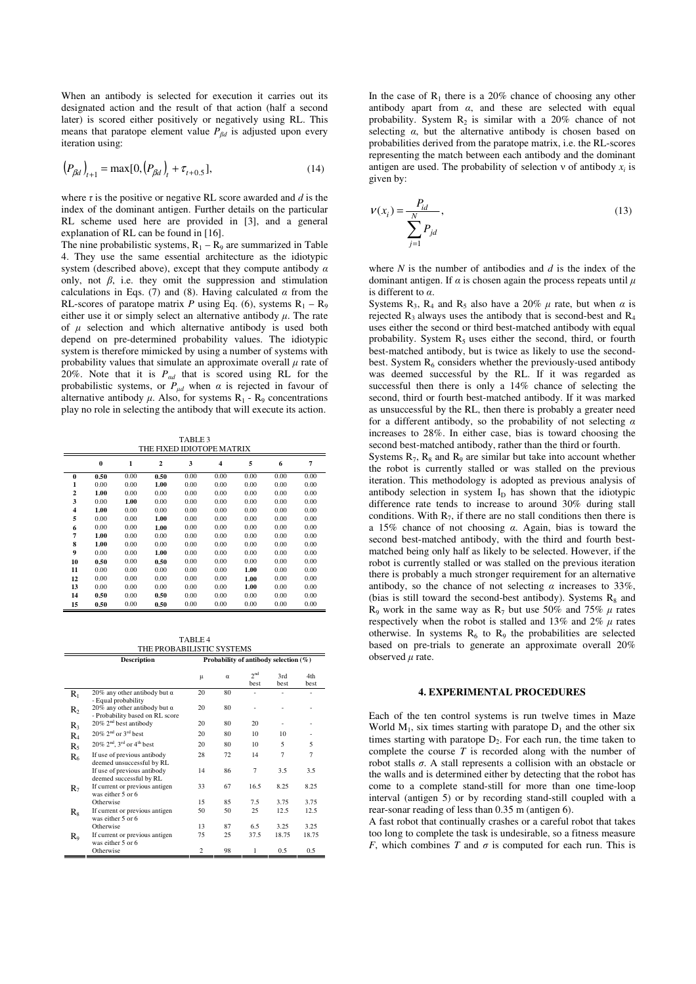When an antibody is selected for execution it carries out its designated action and the result of that action (half a second later) is scored either positively or negatively using RL. This means that paratope element value  $P_{\beta d}$  is adjusted upon every iteration using:

$$
(P_{\beta d})_{t+1} = \max[0, (P_{\beta d})_t + \tau_{t+0.5}], \tag{14}
$$

where  $\tau$  is the positive or negative RL score awarded and  $d$  is the index of the dominant antigen. Further details on the particular RL scheme used here are provided in [3], and a general explanation of RL can be found in [16].

The nine probabilistic systems,  $R_1 - R_9$  are summarized in Table 4. They use the same essential architecture as the idiotypic system (described above), except that they compute antibody  $\alpha$ only, not  $\beta$ , i.e. they omit the suppression and stimulation calculations in Eqs. (7) and (8). Having calculated  $\alpha$  from the RL-scores of paratope matrix P using Eq. (6), systems  $R_1 - R_9$ either use it or simply select an alternative antibody  $\mu$ . The rate of  $\mu$  selection and which alternative antibody is used both depend on pre-determined probability values. The idiotypic system is therefore mimicked by using a number of systems with probability values that simulate an approximate overall  $\mu$  rate of 20%. Note that it is  $P_{ad}$  that is scored using RL for the probabilistic systems, or  $P_{\mu d}$  when  $\alpha$  is rejected in favour of alternative antibody  $\mu$ . Also, for systems  $R_1 - R_9$  concentrations play no role in selecting the antibody that will execute its action.

TABLE 3 THE FIXED IDIOTOPE MATRIX

|                         | $\bf{0}$ | 1    | $\overline{2}$ | 3    | 4    | 5    | 6    | 7    |
|-------------------------|----------|------|----------------|------|------|------|------|------|
| $\bf{0}$                | 0.50     | 0.00 | 0.50           | 0.00 | 0.00 | 0.00 | 0.00 | 0.00 |
| 1                       | 0.00     | 0.00 | 1.00           | 0.00 | 0.00 | 0.00 | 0.00 | 0.00 |
| $\overline{c}$          | 1.00     | 0.00 | 0.00           | 0.00 | 0.00 | 0.00 | 0.00 | 0.00 |
| 3                       | 0.00     | 1.00 | 0.00           | 0.00 | 0.00 | 0.00 | 0.00 | 0.00 |
| $\overline{\mathbf{4}}$ | 1.00     | 0.00 | 0.00           | 0.00 | 0.00 | 0.00 | 0.00 | 0.00 |
| 5                       | 0.00     | 0.00 | 1.00           | 0.00 | 0.00 | 0.00 | 0.00 | 0.00 |
| 6                       | 0.00     | 0.00 | 1.00           | 0.00 | 0.00 | 0.00 | 0.00 | 0.00 |
| 7                       | 1.00     | 0.00 | 0.00           | 0.00 | 0.00 | 0.00 | 0.00 | 0.00 |
| 8                       | 1.00     | 0.00 | 0.00           | 0.00 | 0.00 | 0.00 | 0.00 | 0.00 |
| 9                       | 0.00     | 0.00 | 1.00           | 0.00 | 0.00 | 0.00 | 0.00 | 0.00 |
| 10                      | 0.50     | 0.00 | 0.50           | 0.00 | 0.00 | 0.00 | 0.00 | 0.00 |
| 11                      | 0.00     | 0.00 | 0.00           | 0.00 | 0.00 | 1.00 | 0.00 | 0.00 |
| 12                      | 0.00     | 0.00 | 0.00           | 0.00 | 0.00 | 1.00 | 0.00 | 0.00 |
| 13                      | 0.00     | 0.00 | 0.00           | 0.00 | 0.00 | 1.00 | 0.00 | 0.00 |
| 14                      | 0.50     | 0.00 | 0.50           | 0.00 | 0.00 | 0.00 | 0.00 | 0.00 |
| 15                      | 0.50     | 0.00 | 0.50           | 0.00 | 0.00 | 0.00 | 0.00 | 0.00 |

TABLE 4 THE PROBABILISTIC SYSTEMS

|         | <b>Description</b>                                                     |                |          |                         | Probability of antibody selection (%) |                |
|---------|------------------------------------------------------------------------|----------------|----------|-------------------------|---------------------------------------|----------------|
|         |                                                                        | μ              | $\alpha$ | 2 <sub>nd</sub><br>best | 3rd<br>best                           | 4th<br>best    |
| $R_1$   | 20% any other antibody but $\alpha$<br>- Equal probability             | 20             | 80       |                         |                                       |                |
| R۶      | 20% any other antibody but $\alpha$<br>- Probability based on RL score | 20             | 80       |                         |                                       |                |
| $R_3$   | 20% 2 <sup>nd</sup> best antibody                                      | 20             | 80       | 20                      |                                       |                |
| $R_4$   | $20\%$ 2 <sup>nd</sup> or 3 <sup>rd</sup> best                         | 20             | 80       | 10                      | 10                                    |                |
| $R_5$   | $20\%$ 2 <sup>nd</sup> , 3 <sup>rd</sup> or 4 <sup>th</sup> best       | 20             | 80       | 10                      | 5                                     | 5              |
| $R_6$   | If use of previous antibody<br>deemed unsuccessful by RL               | 28             | 72       | 14                      | $\overline{7}$                        | $\overline{7}$ |
|         | If use of previous antibody<br>deemed successful by RL                 | 14             | 86       | 7                       | 3.5                                   | 3.5            |
| $R_7$   | If current or previous antigen<br>was either 5 or 6                    | 33             | 67       | 16.5                    | 8.25                                  | 8.25           |
|         | Otherwise                                                              | 15             | 85       | 7.5                     | 3.75                                  | 3.75           |
| $R_{8}$ | If current or previous antigen<br>was either 5 or 6                    | 50             | 50       | 25                      | 12.5                                  | 12.5           |
|         | Otherwise                                                              | 13             | 87       | 6.5                     | 3.25                                  | 3.25           |
| R.      | If current or previous antigen<br>was either 5 or 6                    | 75             | 25       | 37.5                    | 18.75                                 | 18.75          |
|         | Otherwise                                                              | $\mathfrak{D}$ | 98       | 1                       | 0.5                                   | 0.5            |

In the case of  $R_1$  there is a 20% chance of choosing any other antibody apart from  $\alpha$ , and these are selected with equal probability. System  $R_2$  is similar with a 20% chance of not selecting  $\alpha$ , but the alternative antibody is chosen based on probabilities derived from the paratope matrix, i.e. the RL-scores representing the match between each antibody and the dominant antigen are used. The probability of selection  $v$  of antibody  $x_i$  is given by:

$$
V(x_i) = \frac{P_{id}}{\sum_{j=1}^{N} P_{jd}},
$$
\n(13)

where  $N$  is the number of antibodies and  $d$  is the index of the dominant antigen. If  $\alpha$  is chosen again the process repeats until  $\mu$ is different to  $\alpha$ .

Systems R<sub>3</sub>, R<sub>4</sub> and R<sub>5</sub> also have a 20%  $\mu$  rate, but when  $\alpha$  is rejected  $R_3$  always uses the antibody that is second-best and  $R_4$ uses either the second or third best-matched antibody with equal probability. System  $R_5$  uses either the second, third, or fourth best-matched antibody, but is twice as likely to use the secondbest. System  $R_6$  considers whether the previously-used antibody was deemed successful by the RL. If it was regarded as successful then there is only a 14% chance of selecting the second, third or fourth best-matched antibody. If it was marked as unsuccessful by the RL, then there is probably a greater need for a different antibody, so the probability of not selecting  $\alpha$ increases to 28%. In either case, bias is toward choosing the second best-matched antibody, rather than the third or fourth.

Systems  $R_7$ ,  $R_8$  and  $R_9$  are similar but take into account whether the robot is currently stalled or was stalled on the previous iteration. This methodology is adopted as previous analysis of antibody selection in system  $I<sub>D</sub>$  has shown that the idiotypic difference rate tends to increase to around 30% during stall conditions. With  $R_7$ , if there are no stall conditions then there is a 15% chance of not choosing  $\alpha$ . Again, bias is toward the second best-matched antibody, with the third and fourth bestmatched being only half as likely to be selected. However, if the robot is currently stalled or was stalled on the previous iteration there is probably a much stronger requirement for an alternative antibody, so the chance of not selecting  $\alpha$  increases to 33%, (bias is still toward the second-best antibody). Systems  $R_8$  and  $R_9$  work in the same way as  $R_7$  but use 50% and 75%  $\mu$  rates respectively when the robot is stalled and 13% and 2%  $\mu$  rates otherwise. In systems  $R_6$  to  $R_9$  the probabilities are selected based on pre-trials to generate an approximate overall 20% observed  $\mu$  rate.

#### 4. EXPERIMENTAL PROCEDURES

Each of the ten control systems is run twelve times in Maze World  $M_1$ , six times starting with paratope  $D_1$  and the other six times starting with paratope  $D_2$ . For each run, the time taken to complete the course  $T$  is recorded along with the number of robot stalls  $\sigma$ . A stall represents a collision with an obstacle or the walls and is determined either by detecting that the robot has come to a complete stand-still for more than one time-loop interval (antigen 5) or by recording stand-still coupled with a rear-sonar reading of less than 0.35 m (antigen 6).

A fast robot that continually crashes or a careful robot that takes too long to complete the task is undesirable, so a fitness measure F, which combines T and  $\sigma$  is computed for each run. This is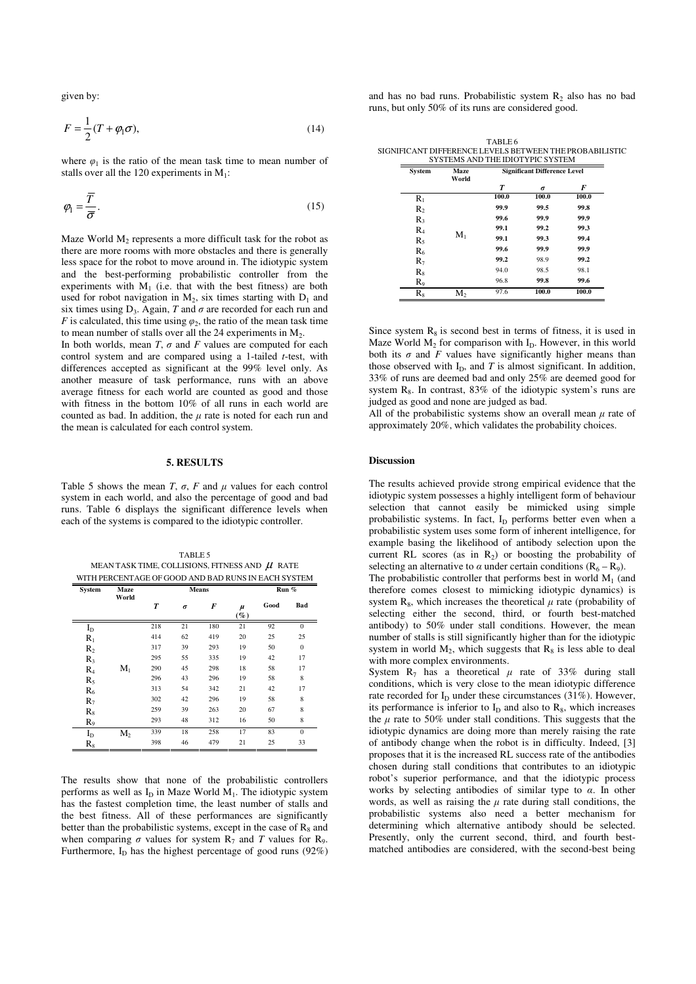given by:

$$
F = \frac{1}{2}(T + \varphi_1 \sigma),\tag{14}
$$

where  $\varphi_1$  is the ratio of the mean task time to mean number of stalls over all the 120 experiments in  $M_1$ :

$$
\varphi_1 = \frac{\overline{T}}{\overline{\sigma}}.
$$
\n(15)

Maze World  $M_2$  represents a more difficult task for the robot as there are more rooms with more obstacles and there is generally less space for the robot to move around in. The idiotypic system and the best-performing probabilistic controller from the experiments with  $M_1$  (i.e. that with the best fitness) are both used for robot navigation in  $M_2$ , six times starting with  $D_1$  and six times using  $D_3$ . Again, T and  $\sigma$  are recorded for each run and F is calculated, this time using  $\varphi_2$ , the ratio of the mean task time to mean number of stalls over all the 24 experiments in  $M_2$ .

In both worlds, mean  $T$ ,  $\sigma$  and  $F$  values are computed for each control system and are compared using a 1-tailed  $t$ -test, with differences accepted as significant at the 99% level only. As another measure of task performance, runs with an above average fitness for each world are counted as good and those with fitness in the bottom 10% of all runs in each world are counted as bad. In addition, the  $\mu$  rate is noted for each run and the mean is calculated for each control system.

## 5. RESULTS

Table 5 shows the mean T,  $\sigma$ , F and  $\mu$  values for each control system in each world, and also the percentage of good and bad runs. Table 6 displays the significant difference levels when each of the systems is compared to the idiotypic controller.

| TABLE 5                                             |
|-----------------------------------------------------|
| MEAN TASK TIME, COLLISIONS, FITNESS AND $\mu$ RATE  |
| WITH PERCENTAGE OF GOOD AND BAD RUNS IN EACH SYSTEM |

| <b>System</b>  | Maze<br>World | Means |          |     | Run %           |      |              |
|----------------|---------------|-------|----------|-----|-----------------|------|--------------|
|                |               | T     | $\sigma$ | F   | $\mu$<br>$(\%)$ | Good | Bad          |
|                |               |       |          |     |                 |      |              |
| $I_D$          |               | 218   | 21       | 180 | 21              | 92   | $\Omega$     |
| $R_1$          |               | 414   | 62       | 419 | 20              | 25   | 25           |
| $R_2$          |               | 317   | 39       | 293 | 19              | 50   | $\mathbf{0}$ |
| $R_3$          |               | 295   | 55       | 335 | 19              | 42   | 17           |
| $R_4$          | $M_1$         | 290   | 45       | 298 | 18              | 58   | 17           |
| $R_5$          |               | 296   | 43       | 296 | 19              | 58   | 8            |
| $R_6$          |               | 313   | 54       | 342 | 21              | 42   | 17           |
| $R_7$          |               | 302   | 42       | 296 | 19              | 58   | 8            |
| $R_8$          |               | 259   | 39       | 263 | 20              | 67   | 8            |
| R <sub>9</sub> |               | 293   | 48       | 312 | 16              | 50   | 8            |
| $I_D$          | M,            | 339   | 18       | 258 | 17              | 83   | $\mathbf{0}$ |
| $R_8$          |               | 398   | 46       | 479 | 21              | 25   | 33           |

The results show that none of the probabilistic controllers performs as well as  $I_D$  in Maze World  $M_1$ . The idiotypic system has the fastest completion time, the least number of stalls and the best fitness. All of these performances are significantly better than the probabilistic systems, except in the case of  $R_8$  and when comparing  $\sigma$  values for system R<sub>7</sub> and T values for R<sub>9</sub>. Furthermore,  $I_D$  has the highest percentage of good runs (92%)

and has no bad runs. Probabilistic system  $R_2$  also has no bad runs, but only 50% of its runs are considered good.

TABLE 6 SIGNIFICANT DIFFERENCE LEVELS BETWEEN THE PROBABILISTIC SYSTEMS AND THE IDIOTYPIC SYSTEM

| <b>System</b> | Maze<br>World  | <b>Significant Difference Level</b> |       |       |  |  |
|---------------|----------------|-------------------------------------|-------|-------|--|--|
|               |                | T                                   | σ     | F     |  |  |
| $\rm R_1$     |                | 100.0                               | 100.0 | 100.0 |  |  |
| $R_2$         |                | 99.9                                | 99.5  | 99.8  |  |  |
| R٩            |                | 99.6                                | 99.9  | 99.9  |  |  |
| R4            |                | 99.1                                | 99.2  | 99.3  |  |  |
| R,            | $M_1$          | 99.1                                | 99.3  | 99.4  |  |  |
| $R_6$         |                | 99.6                                | 99.9  | 99.9  |  |  |
| $R_7$         |                | 99.2                                | 98.9  | 99.2  |  |  |
| $R_8$         |                | 94.0                                | 98.5  | 98.1  |  |  |
| R9            |                | 96.8                                | 99.8  | 99.6  |  |  |
| $R_8$         | M <sub>2</sub> | 97.6                                | 100.0 | 100.0 |  |  |

Since system  $R_8$  is second best in terms of fitness, it is used in Maze World  $M_2$  for comparison with  $I_D$ . However, in this world both its  $\sigma$  and F values have significantly higher means than those observed with  $I<sub>D</sub>$ , and T is almost significant. In addition, 33% of runs are deemed bad and only 25% are deemed good for system  $R_8$ . In contrast, 83% of the idiotypic system's runs are judged as good and none are judged as bad.

All of the probabilistic systems show an overall mean  $\mu$  rate of approximately 20%, which validates the probability choices.

#### **Discussion**

The results achieved provide strong empirical evidence that the idiotypic system possesses a highly intelligent form of behaviour selection that cannot easily be mimicked using simple probabilistic systems. In fact, I<sub>D</sub> performs better even when a probabilistic system uses some form of inherent intelligence, for example basing the likelihood of antibody selection upon the current RL scores (as in  $R_2$ ) or boosting the probability of selecting an alternative to  $\alpha$  under certain conditions ( $R_6 - R_9$ ).

The probabilistic controller that performs best in world  $M<sub>1</sub>$  (and therefore comes closest to mimicking idiotypic dynamics) is system  $R_8$ , which increases the theoretical  $\mu$  rate (probability of selecting either the second, third, or fourth best-matched antibody) to 50% under stall conditions. However, the mean number of stalls is still significantly higher than for the idiotypic system in world  $M_2$ , which suggests that  $R_8$  is less able to deal with more complex environments.

System  $R_7$  has a theoretical  $\mu$  rate of 33% during stall conditions, which is very close to the mean idiotypic difference rate recorded for  $I_D$  under these circumstances (31%). However, its performance is inferior to  $I_D$  and also to  $R_8$ , which increases the  $\mu$  rate to 50% under stall conditions. This suggests that the idiotypic dynamics are doing more than merely raising the rate of antibody change when the robot is in difficulty. Indeed, [3] proposes that it is the increased RL success rate of the antibodies chosen during stall conditions that contributes to an idiotypic robot's superior performance, and that the idiotypic process works by selecting antibodies of similar type to  $\alpha$ . In other words, as well as raising the  $\mu$  rate during stall conditions, the probabilistic systems also need a better mechanism for determining which alternative antibody should be selected. Presently, only the current second, third, and fourth bestmatched antibodies are considered, with the second-best being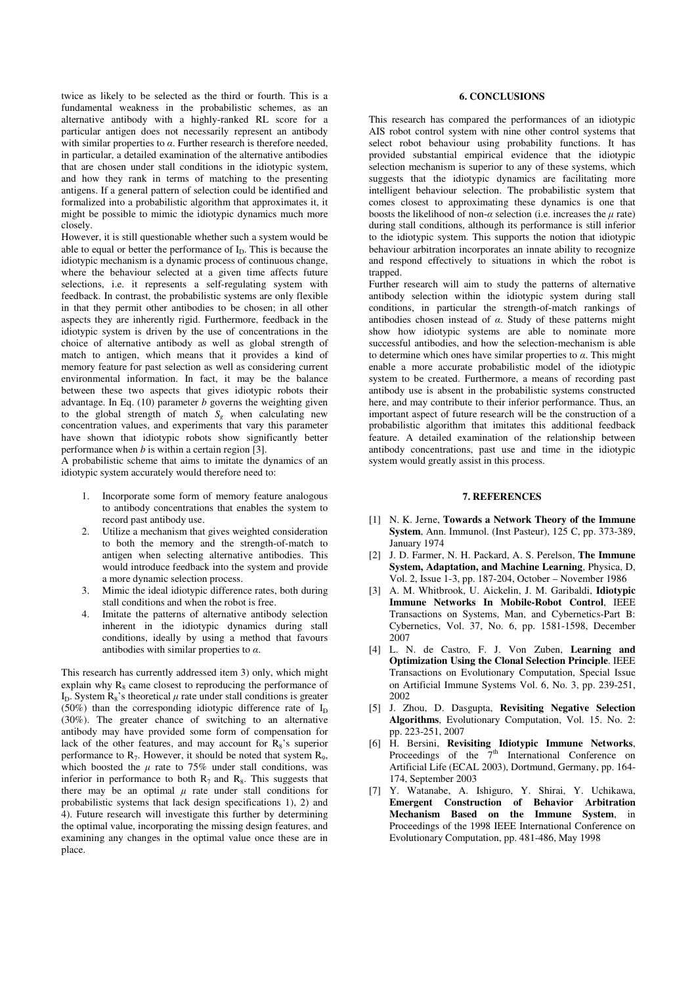twice as likely to be selected as the third or fourth. This is a fundamental weakness in the probabilistic schemes, as an alternative antibody with a highly-ranked RL score for a particular antigen does not necessarily represent an antibody with similar properties to  $\alpha$ . Further research is therefore needed, in particular, a detailed examination of the alternative antibodies that are chosen under stall conditions in the idiotypic system, and how they rank in terms of matching to the presenting antigens. If a general pattern of selection could be identified and formalized into a probabilistic algorithm that approximates it, it might be possible to mimic the idiotypic dynamics much more closely.

However, it is still questionable whether such a system would be able to equal or better the performance of  $I<sub>D</sub>$ . This is because the idiotypic mechanism is a dynamic process of continuous change, where the behaviour selected at a given time affects future selections, i.e. it represents a self-regulating system with feedback. In contrast, the probabilistic systems are only flexible in that they permit other antibodies to be chosen; in all other aspects they are inherently rigid. Furthermore, feedback in the idiotypic system is driven by the use of concentrations in the choice of alternative antibody as well as global strength of match to antigen, which means that it provides a kind of memory feature for past selection as well as considering current environmental information. In fact, it may be the balance between these two aspects that gives idiotypic robots their advantage. In Eq.  $(10)$  parameter b governs the weighting given to the global strength of match  $S_g$  when calculating new concentration values, and experiments that vary this parameter have shown that idiotypic robots show significantly better performance when  $b$  is within a certain region [3].

A probabilistic scheme that aims to imitate the dynamics of an idiotypic system accurately would therefore need to:

- 1. Incorporate some form of memory feature analogous to antibody concentrations that enables the system to record past antibody use.
- 2. Utilize a mechanism that gives weighted consideration to both the memory and the strength-of-match to antigen when selecting alternative antibodies. This would introduce feedback into the system and provide a more dynamic selection process.
- 3. Mimic the ideal idiotypic difference rates, both during stall conditions and when the robot is free.
- 4. Imitate the patterns of alternative antibody selection inherent in the idiotypic dynamics during stall conditions, ideally by using a method that favours antibodies with similar properties to  $\alpha$ .

This research has currently addressed item 3) only, which might explain why  $R_8$  came closest to reproducing the performance of  $I_D$ . System  $R_8$ 's theoretical  $\mu$  rate under stall conditions is greater (50%) than the corresponding idiotypic difference rate of  $I_D$ (30%). The greater chance of switching to an alternative antibody may have provided some form of compensation for lack of the other features, and may account for  $R_8$ 's superior performance to  $R_7$ . However, it should be noted that system  $R_9$ , which boosted the  $\mu$  rate to 75% under stall conditions, was inferior in performance to both  $R_7$  and  $R_8$ . This suggests that there may be an optimal  $\mu$  rate under stall conditions for probabilistic systems that lack design specifications 1), 2) and 4). Future research will investigate this further by determining the optimal value, incorporating the missing design features, and examining any changes in the optimal value once these are in place.

## 6. CONCLUSIONS

This research has compared the performances of an idiotypic AIS robot control system with nine other control systems that select robot behaviour using probability functions. It has provided substantial empirical evidence that the idiotypic selection mechanism is superior to any of these systems, which suggests that the idiotypic dynamics are facilitating more intelligent behaviour selection. The probabilistic system that comes closest to approximating these dynamics is one that boosts the likelihood of non- $\alpha$  selection (i.e. increases the  $\mu$  rate) during stall conditions, although its performance is still inferior to the idiotypic system. This supports the notion that idiotypic behaviour arbitration incorporates an innate ability to recognize and respond effectively to situations in which the robot is trapped.

Further research will aim to study the patterns of alternative antibody selection within the idiotypic system during stall conditions, in particular the strength-of-match rankings of antibodies chosen instead of  $\alpha$ . Study of these patterns might show how idiotypic systems are able to nominate more successful antibodies, and how the selection-mechanism is able to determine which ones have similar properties to  $\alpha$ . This might enable a more accurate probabilistic model of the idiotypic system to be created. Furthermore, a means of recording past antibody use is absent in the probabilistic systems constructed here, and may contribute to their inferior performance. Thus, an important aspect of future research will be the construction of a probabilistic algorithm that imitates this additional feedback feature. A detailed examination of the relationship between antibody concentrations, past use and time in the idiotypic system would greatly assist in this process.

## 7. REFERENCES

- [1] N. K. Jerne, Towards a Network Theory of the Immune System, Ann. Immunol. (Inst Pasteur), 125 C, pp. 373-389, January 1974
- [2] J. D. Farmer, N. H. Packard, A. S. Perelson, The Immune System, Adaptation, and Machine Learning, Physica, D, Vol. 2, Issue 1-3, pp. 187-204, October – November 1986
- [3] A. M. Whitbrook, U. Aickelin, J. M. Garibaldi, Idiotypic Immune Networks In Mobile-Robot Control, IEEE Transactions on Systems, Man, and Cybernetics-Part B: Cybernetics, Vol. 37, No. 6, pp. 1581-1598, December 2007
- [4] L. N. de Castro, F. J. Von Zuben, Learning and Optimization Using the Clonal Selection Principle. IEEE Transactions on Evolutionary Computation, Special Issue on Artificial Immune Systems Vol. 6, No. 3, pp. 239-251, 2002
- [5] J. Zhou, D. Dasgupta, Revisiting Negative Selection Algorithms, Evolutionary Computation, Vol. 15. No. 2: pp. 223-251, 2007
- [6] H. Bersini, Revisiting Idiotypic Immune Networks, Proceedings of the  $7<sup>th</sup>$  International Conference on Artificial Life (ECAL 2003), Dortmund, Germany, pp. 164- 174, September 2003
- [7] Y. Watanabe, A. Ishiguro, Y. Shirai, Y. Uchikawa, Emergent Construction of Behavior Arbitration Mechanism Based on the Immune System, in Proceedings of the 1998 IEEE International Conference on Evolutionary Computation, pp. 481-486, May 1998